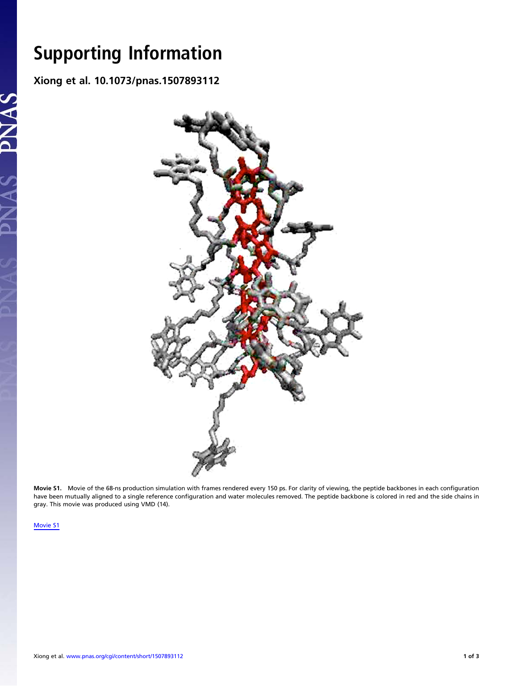$\frac{1}{\sqrt{2}}$  Supporting Information in the set of  $\frac{1}{2}$  And  $\frac{1}{2}$  And  $\frac{1}{2}$  And  $\frac{1}{2}$  And  $\frac{1}{2}$  And  $\frac{1}{2}$  And  $\frac{1}{2}$  And  $\frac{1}{2}$  And  $\frac{1}{2}$  And  $\frac{1}{2}$  And  $\frac{1}{2}$  And  $\frac{1}{2}$  And  $\frac$ Xiong et al. 10.1073/pnas.1507893112



Movie S1. Movie of the 68-ns production simulation with frames rendered every 150 ps. For clarity of viewing, the peptide backbones in each configuration have been mutually aligned to a single reference configuration and water molecules removed. The peptide backbone is colored in red and the side chains in gray. This movie was produced using VMD (14).

[Movie S1](http://movie-usa.glencoesoftware.com/video/10.1073/pnas.1507893112/video-1)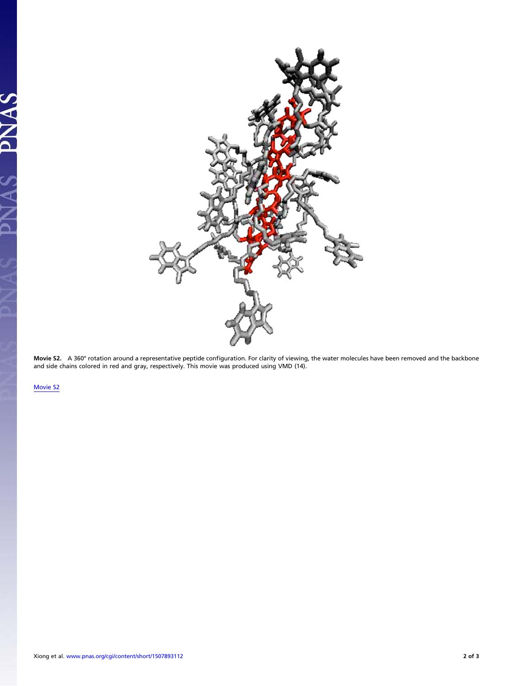

**Movie S2.** A 360° rotation around a representative peptide configuration. For clarity of viewing, the water molecules have been removed and the backbone<br>and side chains colored in red and gray, respectively. This movie

[Movie S2](http://movie-usa.glencoesoftware.com/video/10.1073/pnas.1507893112/video-2)